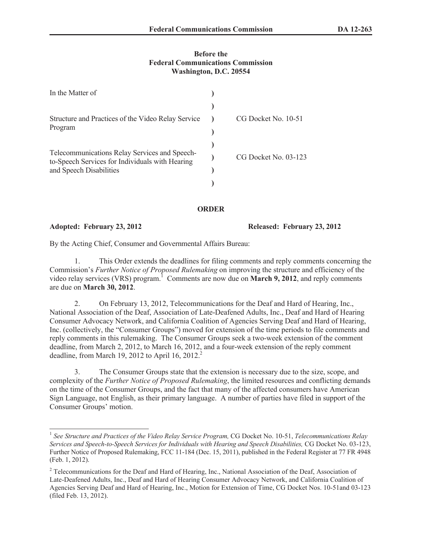## **Before the Federal Communications Commission Washington, D.C. 20554**

| In the Matter of                                                                                                            |                      |
|-----------------------------------------------------------------------------------------------------------------------------|----------------------|
|                                                                                                                             |                      |
| Structure and Practices of the Video Relay Service<br>Program                                                               | CG Docket No. 10-51  |
|                                                                                                                             |                      |
| Telecommunications Relay Services and Speech-<br>to-Speech Services for Individuals with Hearing<br>and Speech Disabilities |                      |
|                                                                                                                             | CG Docket No. 03-123 |
|                                                                                                                             |                      |
|                                                                                                                             |                      |

## **ORDER**

**Adopted: February 23, 2012 Released: February 23, 2012**

By the Acting Chief, Consumer and Governmental Affairs Bureau:

1. This Order extends the deadlines for filing comments and reply comments concerning the Commission's *Further Notice of Proposed Rulemaking* on improving the structure and efficiency of the video relay services (VRS) program.<sup>1</sup> Comments are now due on **March 9, 2012**, and reply comments are due on **March 30, 2012**.

2. On February 13, 2012, Telecommunications for the Deaf and Hard of Hearing, Inc., National Association of the Deaf, Association of Late-Deafened Adults, Inc., Deaf and Hard of Hearing Consumer Advocacy Network, and California Coalition of Agencies Serving Deaf and Hard of Hearing, Inc. (collectively, the "Consumer Groups") moved for extension of the time periods to file comments and reply comments in this rulemaking. The Consumer Groups seek a two-week extension of the comment deadline, from March 2, 2012, to March 16, 2012, and a four-week extension of the reply comment deadline, from March 19, 2012 to April 16, 2012.<sup>2</sup>

3. The Consumer Groups state that the extension is necessary due to the size, scope, and complexity of the *Further Notice of Proposed Rulemaking*, the limited resources and conflicting demands on the time of the Consumer Groups, and the fact that many of the affected consumers have American Sign Language, not English, as their primary language. A number of parties have filed in support of the Consumer Groups' motion.

<sup>1</sup> *See Structure and Practices of the Video Relay Service Program,* CG Docket No. 10-51, *Telecommunications Relay Services and Speech-to-Speech Services for Individuals with Hearing and Speech Disabilities,* CG Docket No. 03-123, Further Notice of Proposed Rulemaking, FCC 11-184 (Dec. 15, 2011), published in the Federal Register at 77 FR 4948 (Feb. 1, 2012).

<sup>&</sup>lt;sup>2</sup> Telecommunications for the Deaf and Hard of Hearing, Inc., National Association of the Deaf, Association of Late-Deafened Adults, Inc., Deaf and Hard of Hearing Consumer Advocacy Network, and California Coalition of Agencies Serving Deaf and Hard of Hearing, Inc., Motion for Extension of Time, CG Docket Nos. 10-51and 03-123 (filed Feb. 13, 2012).